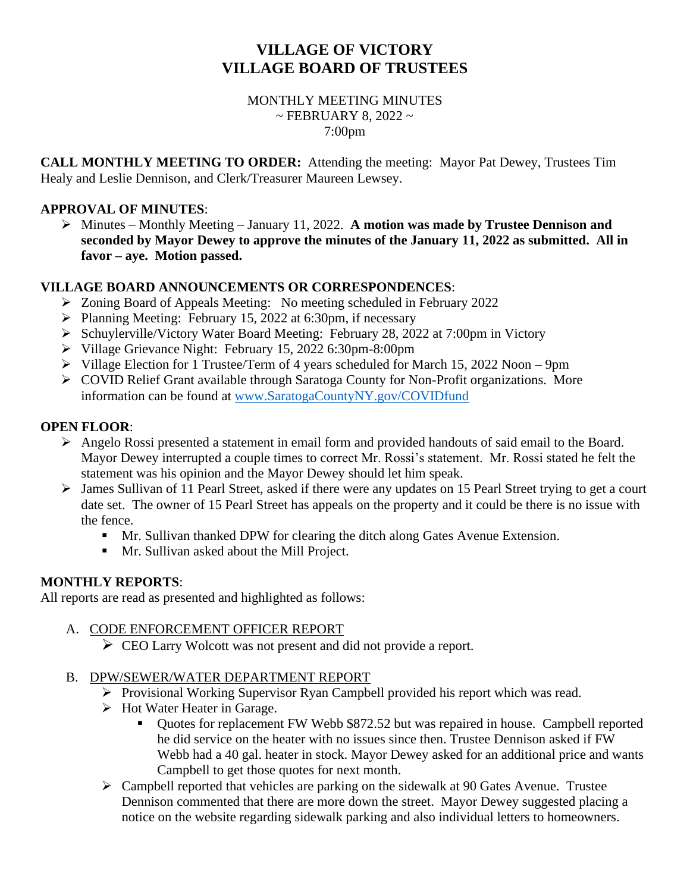# **VILLAGE OF VICTORY VILLAGE BOARD OF TRUSTEES**

#### MONTHLY MEETING MINUTES  $\sim$  FEBRUARY 8, 2022  $\sim$ 7:00pm

**CALL MONTHLY MEETING TO ORDER:** Attending the meeting: Mayor Pat Dewey, Trustees Tim Healy and Leslie Dennison, and Clerk/Treasurer Maureen Lewsey.

#### **APPROVAL OF MINUTES**:

➢ Minutes – Monthly Meeting – January 11, 2022. **A motion was made by Trustee Dennison and seconded by Mayor Dewey to approve the minutes of the January 11, 2022 as submitted. All in favor – aye. Motion passed.**

### **VILLAGE BOARD ANNOUNCEMENTS OR CORRESPONDENCES**:

- ➢ Zoning Board of Appeals Meeting: No meeting scheduled in February 2022
- ➢ Planning Meeting: February 15, 2022 at 6:30pm, if necessary
- ➢ Schuylerville/Victory Water Board Meeting: February 28, 2022 at 7:00pm in Victory
- ➢ Village Grievance Night: February 15, 2022 6:30pm-8:00pm
- ➢ Village Election for 1 Trustee/Term of 4 years scheduled for March 15, 2022 Noon 9pm
- ➢ COVID Relief Grant available through Saratoga County for Non-Profit organizations. More information can be found at [www.SaratogaCountyNY.gov/COVIDfund](http://www.saratogacountyny.gov/COVIDfund)

### **OPEN FLOOR**:

- ➢ Angelo Rossi presented a statement in email form and provided handouts of said email to the Board. Mayor Dewey interrupted a couple times to correct Mr. Rossi's statement. Mr. Rossi stated he felt the statement was his opinion and the Mayor Dewey should let him speak.
- ➢ James Sullivan of 11 Pearl Street, asked if there were any updates on 15 Pearl Street trying to get a court date set. The owner of 15 Pearl Street has appeals on the property and it could be there is no issue with the fence.
	- **■** Mr. Sullivan thanked DPW for clearing the ditch along Gates Avenue Extension.
	- **■** Mr. Sullivan asked about the Mill Project.

# **MONTHLY REPORTS**:

All reports are read as presented and highlighted as follows:

# A. CODE ENFORCEMENT OFFICER REPORT

➢ CEO Larry Wolcott was not present and did not provide a report.

# B. DPW/SEWER/WATER DEPARTMENT REPORT

- ➢ Provisional Working Supervisor Ryan Campbell provided his report which was read.
- ➢ Hot Water Heater in Garage.
	- Quotes for replacement FW Webb \$872.52 but was repaired in house. Campbell reported he did service on the heater with no issues since then. Trustee Dennison asked if FW Webb had a 40 gal. heater in stock. Mayor Dewey asked for an additional price and wants Campbell to get those quotes for next month.
- ➢ Campbell reported that vehicles are parking on the sidewalk at 90 Gates Avenue. Trustee Dennison commented that there are more down the street. Mayor Dewey suggested placing a notice on the website regarding sidewalk parking and also individual letters to homeowners.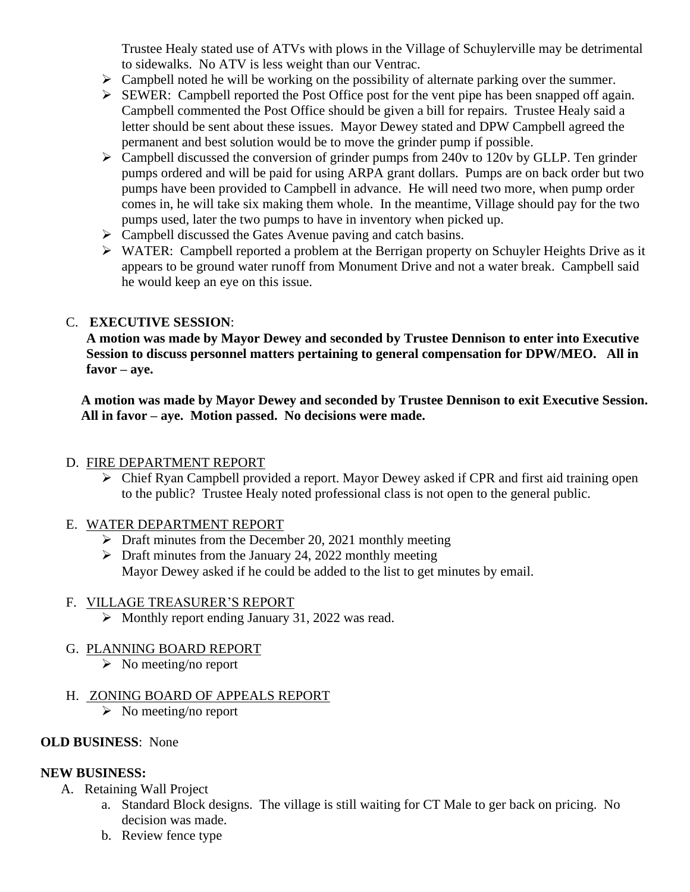Trustee Healy stated use of ATVs with plows in the Village of Schuylerville may be detrimental to sidewalks. No ATV is less weight than our Ventrac.

- $\triangleright$  Campbell noted he will be working on the possibility of alternate parking over the summer.
- ➢ SEWER: Campbell reported the Post Office post for the vent pipe has been snapped off again. Campbell commented the Post Office should be given a bill for repairs. Trustee Healy said a letter should be sent about these issues. Mayor Dewey stated and DPW Campbell agreed the permanent and best solution would be to move the grinder pump if possible.
- $\triangleright$  Campbell discussed the conversion of grinder pumps from 240v to 120v by GLLP. Ten grinder pumps ordered and will be paid for using ARPA grant dollars. Pumps are on back order but two pumps have been provided to Campbell in advance. He will need two more, when pump order comes in, he will take six making them whole. In the meantime, Village should pay for the two pumps used, later the two pumps to have in inventory when picked up.
- ➢ Campbell discussed the Gates Avenue paving and catch basins.
- ➢ WATER: Campbell reported a problem at the Berrigan property on Schuyler Heights Drive as it appears to be ground water runoff from Monument Drive and not a water break. Campbell said he would keep an eye on this issue.

#### C. **EXECUTIVE SESSION**:

**A motion was made by Mayor Dewey and seconded by Trustee Dennison to enter into Executive Session to discuss personnel matters pertaining to general compensation for DPW/MEO. All in favor – aye.**

**A motion was made by Mayor Dewey and seconded by Trustee Dennison to exit Executive Session. All in favor – aye. Motion passed. No decisions were made.**

#### D. FIRE DEPARTMENT REPORT

➢ Chief Ryan Campbell provided a report. Mayor Dewey asked if CPR and first aid training open to the public? Trustee Healy noted professional class is not open to the general public.

#### E. WATER DEPARTMENT REPORT

- $\triangleright$  Draft minutes from the December 20, 2021 monthly meeting
- $\triangleright$  Draft minutes from the January 24, 2022 monthly meeting Mayor Dewey asked if he could be added to the list to get minutes by email.

# F. VILLAGE TREASURER'S REPORT

- ➢ Monthly report ending January 31, 2022 was read.
- G. PLANNING BOARD REPORT
	- $\triangleright$  No meeting/no report
- H. ZONING BOARD OF APPEALS REPORT
	- ➢ No meeting/no report

# **OLD BUSINESS**: None

# **NEW BUSINESS:**

- A. Retaining Wall Project
	- a. Standard Block designs. The village is still waiting for CT Male to ger back on pricing. No decision was made.
	- b. Review fence type